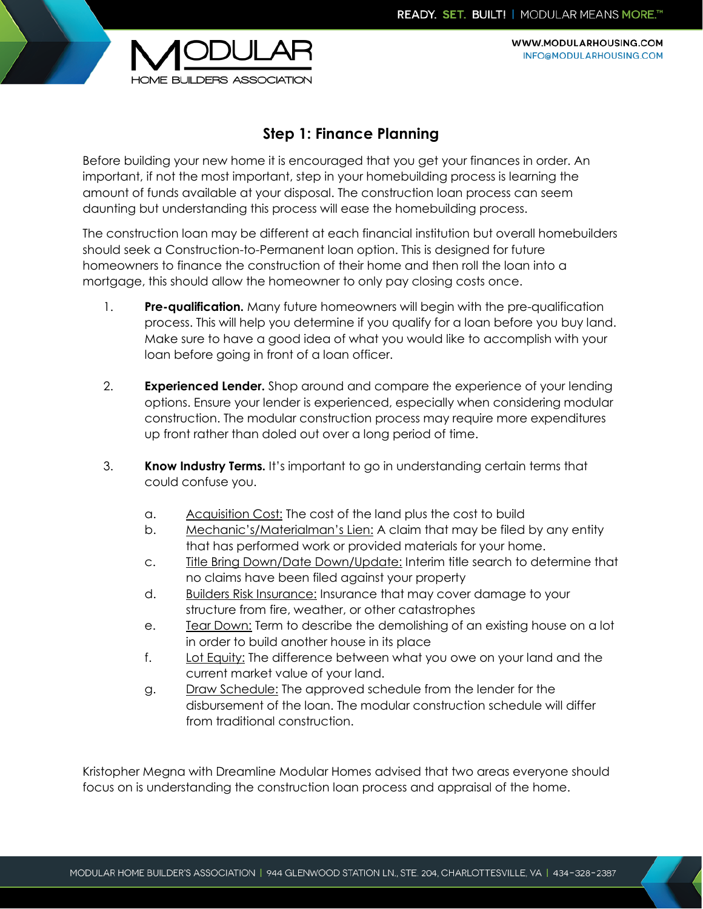

WWW.MODULARHOUSING.COM INFO@MODULARHOUSING.COM

## **Step 1: Finance Planning**

Before building your new home it is encouraged that you get your finances in order. An important, if not the most important, step in your homebuilding process is learning the amount of funds available at your disposal. The construction loan process can seem daunting but understanding this process will ease the homebuilding process.

The construction loan may be different at each financial institution but overall homebuilders should seek a Construction-to-Permanent loan option. This is designed for future homeowners to finance the construction of their home and then roll the loan into a mortgage, this should allow the homeowner to only pay closing costs once.

- 1. **Pre-qualification.** Many future homeowners will begin with the pre-qualification process. This will help you determine if you qualify for a loan before you buy land. Make sure to have a good idea of what you would like to accomplish with your loan before going in front of a loan officer.
- 2. **Experienced Lender.** Shop around and compare the experience of your lending options. Ensure your lender is experienced, especially when considering modular construction. The modular construction process may require more expenditures up front rather than doled out over a long period of time.
- 3. **Know Industry Terms.** It's important to go in understanding certain terms that could confuse you.
	- a. Acquisition Cost: The cost of the land plus the cost to build
	- b. Mechanic's/Materialman's Lien: A claim that may be filed by any entity that has performed work or provided materials for your home.
	- c. Title Bring Down/Date Down/Update: Interim title search to determine that no claims have been filed against your property
	- d. Builders Risk Insurance: Insurance that may cover damage to your structure from fire, weather, or other catastrophes
	- e. Tear Down: Term to describe the demolishing of an existing house on a lot in order to build another house in its place
	- f. Lot Equity: The difference between what you owe on your land and the current market value of your land.
	- g. Draw Schedule: The approved schedule from the lender for the disbursement of the loan. The modular construction schedule will differ from traditional construction.

Kristopher Megna with Dreamline Modular Homes advised that two areas everyone should focus on is understanding the construction loan process and appraisal of the home.